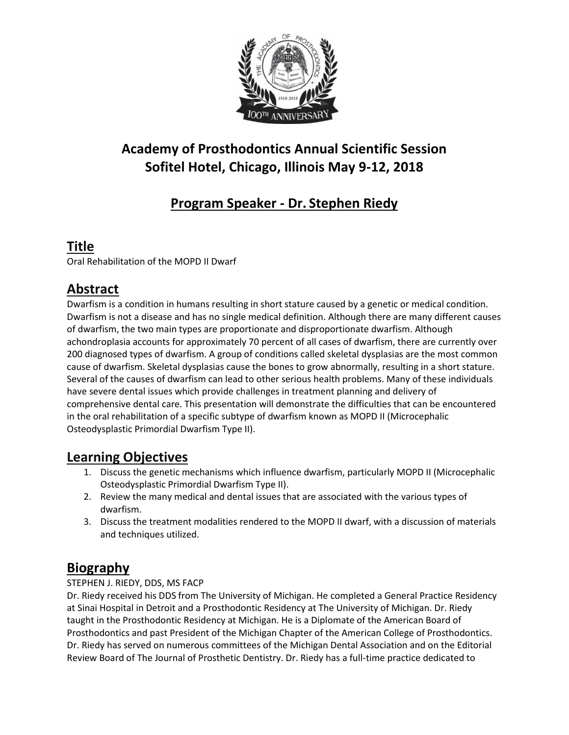

# **Academy of Prosthodontics Annual Scientific Session Sofitel Hotel, Chicago, Illinois May 9-12, 2018**

# **Program Speaker - Dr. Stephen Riedy**

### **Title**

Oral Rehabilitation of the MOPD II Dwarf

## **Abstract**

Dwarfism is a condition in humans resulting in short stature caused by a genetic or medical condition. Dwarfism is not a disease and has no single medical definition. Although there are many different causes of dwarfism, the two main types are proportionate and disproportionate dwarfism. Although achondroplasia accounts for approximately 70 percent of all cases of dwarfism, there are currently over 200 diagnosed types of dwarfism. A group of conditions called skeletal dysplasias are the most common cause of dwarfism. Skeletal dysplasias cause the bones to grow abnormally, resulting in a short stature. Several of the causes of dwarfism can lead to other serious health problems. Many of these individuals have severe dental issues which provide challenges in treatment planning and delivery of comprehensive dental care. This presentation will demonstrate the difficulties that can be encountered in the oral rehabilitation of a specific subtype of dwarfism known as MOPD II (Microcephalic Osteodysplastic Primordial Dwarfism Type II).

#### **Learning Objectives**

- 1. Discuss the genetic mechanisms which influence dwarfism, particularly MOPD II (Microcephalic Osteodysplastic Primordial Dwarfism Type II).
- 2. Review the many medical and dental issues that are associated with the various types of dwarfism.
- 3. Discuss the treatment modalities rendered to the MOPD II dwarf, with a discussion of materials and techniques utilized.

## **Biography**

#### STEPHEN J. RIEDY, DDS, MS FACP

Dr. Riedy received his DDS from The University of Michigan. He completed a General Practice Residency at Sinai Hospital in Detroit and a Prosthodontic Residency at The University of Michigan. Dr. Riedy taught in the Prosthodontic Residency at Michigan. He is a Diplomate of the American Board of Prosthodontics and past President of the Michigan Chapter of the American College of Prosthodontics. Dr. Riedy has served on numerous committees of the Michigan Dental Association and on the Editorial Review Board of The Journal of Prosthetic Dentistry. Dr. Riedy has a full-time practice dedicated to